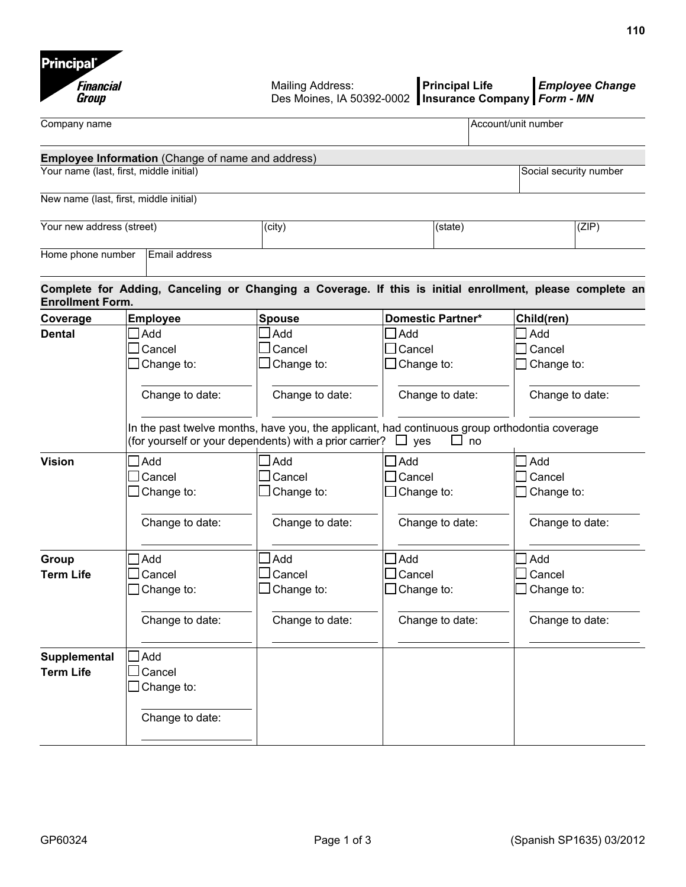| <b>Financial</b><br>Group |                                                   | Mailing Address:<br>Des Moines, IA 50392-0002           | <b>Principal Life</b>                                                                                                    | <b>Employee Change</b><br>Insurance Company Form - MN                                                    |  |
|---------------------------|---------------------------------------------------|---------------------------------------------------------|--------------------------------------------------------------------------------------------------------------------------|----------------------------------------------------------------------------------------------------------|--|
| Company name              |                                                   |                                                         |                                                                                                                          | Account/unit number                                                                                      |  |
|                           | Employee Information (Change of name and address) |                                                         |                                                                                                                          |                                                                                                          |  |
|                           | Your name (last, first, middle initial)           |                                                         |                                                                                                                          | Social security number                                                                                   |  |
|                           | New name (last, first, middle initial)            |                                                         |                                                                                                                          |                                                                                                          |  |
| Your new address (street) |                                                   | (city)                                                  | (state)                                                                                                                  | (ZIP)                                                                                                    |  |
| Home phone number         | Email address                                     |                                                         |                                                                                                                          |                                                                                                          |  |
| <b>Enrollment Form.</b>   |                                                   |                                                         |                                                                                                                          | Complete for Adding, Canceling or Changing a Coverage. If this is initial enrollment, please complete an |  |
| Coverage                  | <b>Employee</b>                                   | <b>Spouse</b>                                           | <b>Domestic Partner*</b>                                                                                                 | Child(ren)                                                                                               |  |
| <b>Dental</b>             | $\Box$ Add                                        | Add                                                     | $\mathsf{J}\mathsf{Add}$                                                                                                 | $J$ Add                                                                                                  |  |
|                           | $\Box$ Cancel                                     | l Cancel                                                | $\sf J$ Cancel                                                                                                           | Cancel                                                                                                   |  |
|                           | $\Box$ Change to:                                 | Change to:                                              | Change to:                                                                                                               | Change to:                                                                                               |  |
|                           | Change to date:                                   | Change to date:                                         | Change to date:                                                                                                          | Change to date:                                                                                          |  |
|                           |                                                   | (for yourself or your dependents) with a prior carrier? | In the past twelve months, have you, the applicant, had continuous group orthodontia coverage<br>$\Box$ yes<br>$\Box$ no |                                                                                                          |  |
| <b>Vision</b>             | $\Box$ Add                                        | Add                                                     | $\exists$ Add                                                                                                            | Add                                                                                                      |  |
|                           | $\Box$ Cancel                                     | Cancel                                                  | ]Cancel                                                                                                                  | Cancel                                                                                                   |  |
|                           | $\Box$ Change to:                                 | Change to:                                              | $\Box$ Change to:                                                                                                        | Change to:                                                                                               |  |
|                           | Change to date:                                   | Change to date:                                         | Change to date:                                                                                                          | Change to date:                                                                                          |  |
| Group                     | Add                                               | Add                                                     | Add                                                                                                                      | ] Add                                                                                                    |  |
| <b>Term Life</b>          | $\Box$ Cancel                                     | ]Cancel                                                 | $\sf J$ Cancel                                                                                                           | $\sf J$ Cancel                                                                                           |  |
|                           | $\Box$ Change to:                                 | $\Box$ Change to:                                       | $\Box$ Change to:                                                                                                        | Change to:                                                                                               |  |
|                           | Change to date:                                   | Change to date:                                         | Change to date:                                                                                                          | Change to date:                                                                                          |  |
| Supplemental              | $\Box$ Add                                        |                                                         |                                                                                                                          |                                                                                                          |  |
| <b>Term Life</b>          | Cancel                                            |                                                         |                                                                                                                          |                                                                                                          |  |
|                           | $\Box$ Change to:                                 |                                                         |                                                                                                                          |                                                                                                          |  |
|                           | Change to date:                                   |                                                         |                                                                                                                          |                                                                                                          |  |
|                           |                                                   |                                                         |                                                                                                                          |                                                                                                          |  |

**Principal**\*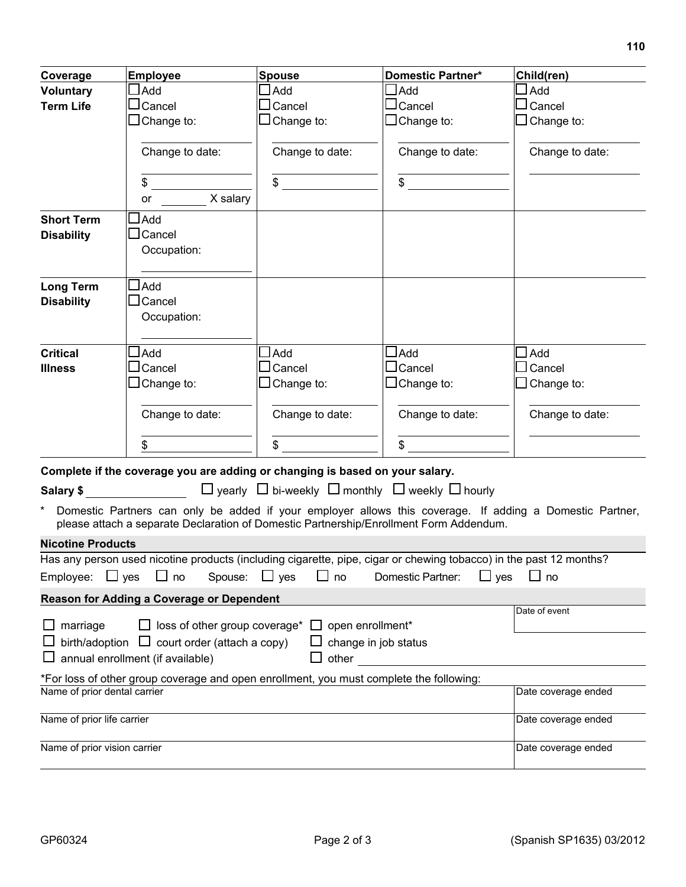| Coverage                                                                                                                                                                                                                        | <b>Employee</b>                                                                        | <b>Spouse</b>                                                             | <b>Domestic Partner*</b>                                                                                           | Child(ren)                                                                                               |  |  |  |
|---------------------------------------------------------------------------------------------------------------------------------------------------------------------------------------------------------------------------------|----------------------------------------------------------------------------------------|---------------------------------------------------------------------------|--------------------------------------------------------------------------------------------------------------------|----------------------------------------------------------------------------------------------------------|--|--|--|
| <b>Voluntary</b>                                                                                                                                                                                                                | $\Box$ Add                                                                             | Add                                                                       | $\Box$ Add                                                                                                         | Add                                                                                                      |  |  |  |
| <b>Term Life</b>                                                                                                                                                                                                                | $\Box$ Cancel                                                                          | $\Box$ Cancel                                                             | $\sqcup$ Cancel                                                                                                    | $\sqcup$ Cancel                                                                                          |  |  |  |
|                                                                                                                                                                                                                                 | $\Box$ Change to:                                                                      | $\Box$ Change to:                                                         | $\Box$ Change to:                                                                                                  | $\Box$ Change to:                                                                                        |  |  |  |
|                                                                                                                                                                                                                                 |                                                                                        |                                                                           |                                                                                                                    |                                                                                                          |  |  |  |
|                                                                                                                                                                                                                                 | Change to date:                                                                        | Change to date:                                                           | Change to date:                                                                                                    | Change to date:                                                                                          |  |  |  |
|                                                                                                                                                                                                                                 |                                                                                        |                                                                           |                                                                                                                    |                                                                                                          |  |  |  |
|                                                                                                                                                                                                                                 | $\frac{1}{2}$<br>or X salary                                                           | $\sim$                                                                    | \$                                                                                                                 |                                                                                                          |  |  |  |
|                                                                                                                                                                                                                                 |                                                                                        |                                                                           |                                                                                                                    |                                                                                                          |  |  |  |
| <b>Short Term</b><br><b>Disability</b>                                                                                                                                                                                          | $\sqcup$ Add<br>$\Box$ Cancel                                                          |                                                                           |                                                                                                                    |                                                                                                          |  |  |  |
|                                                                                                                                                                                                                                 | Occupation:                                                                            |                                                                           |                                                                                                                    |                                                                                                          |  |  |  |
|                                                                                                                                                                                                                                 |                                                                                        |                                                                           |                                                                                                                    |                                                                                                          |  |  |  |
| <b>Long Term</b>                                                                                                                                                                                                                | $\Box$ Add                                                                             |                                                                           |                                                                                                                    |                                                                                                          |  |  |  |
| <b>Disability</b>                                                                                                                                                                                                               | $\Box$ Cancel                                                                          |                                                                           |                                                                                                                    |                                                                                                          |  |  |  |
|                                                                                                                                                                                                                                 | Occupation:                                                                            |                                                                           |                                                                                                                    |                                                                                                          |  |  |  |
|                                                                                                                                                                                                                                 |                                                                                        |                                                                           |                                                                                                                    |                                                                                                          |  |  |  |
| <b>Critical</b>                                                                                                                                                                                                                 | $\Box$ Add                                                                             | Add                                                                       | $\Box$ Add                                                                                                         | $\exists$ Add                                                                                            |  |  |  |
| <b>Illness</b>                                                                                                                                                                                                                  | $\square$ Cancel                                                                       | l Cancel                                                                  | $\Box$ Cancel                                                                                                      | Cancel                                                                                                   |  |  |  |
|                                                                                                                                                                                                                                 | $\Box$ Change to:                                                                      | $\Box$ Change to:                                                         | $\Box$ Change to:                                                                                                  | $\Box$ Change to:                                                                                        |  |  |  |
|                                                                                                                                                                                                                                 |                                                                                        |                                                                           |                                                                                                                    |                                                                                                          |  |  |  |
|                                                                                                                                                                                                                                 | Change to date:                                                                        | Change to date:                                                           | Change to date:                                                                                                    | Change to date:                                                                                          |  |  |  |
|                                                                                                                                                                                                                                 |                                                                                        |                                                                           |                                                                                                                    |                                                                                                          |  |  |  |
|                                                                                                                                                                                                                                 | \$                                                                                     | \$                                                                        | $\mathbb{S}$                                                                                                       |                                                                                                          |  |  |  |
|                                                                                                                                                                                                                                 | Complete if the coverage you are adding or changing is based on your salary.           |                                                                           |                                                                                                                    |                                                                                                          |  |  |  |
| Salary \$ and the state of the state of the state of the state of the state of the state of the state of the state of the state of the state of the state of the state of the state of the state of the state of the state of t |                                                                                        | $\Box$ yearly $\Box$ bi-weekly $\Box$ monthly $\Box$ weekly $\Box$ hourly |                                                                                                                    |                                                                                                          |  |  |  |
|                                                                                                                                                                                                                                 | please attach a separate Declaration of Domestic Partnership/Enrollment Form Addendum. |                                                                           |                                                                                                                    | Domestic Partners can only be added if your employer allows this coverage. If adding a Domestic Partner, |  |  |  |
| <b>Nicotine Products</b>                                                                                                                                                                                                        |                                                                                        |                                                                           |                                                                                                                    |                                                                                                          |  |  |  |
|                                                                                                                                                                                                                                 |                                                                                        |                                                                           | Has any person used nicotine products (including cigarette, pipe, cigar or chewing tobacco) in the past 12 months? |                                                                                                          |  |  |  |
| Spouse: $\Box$ yes<br>Employee: $\Box$ yes $\Box$ no<br>$\Box$ no<br>$\Box$ yes<br>Domestic Partner:<br>$\Box$ no                                                                                                               |                                                                                        |                                                                           |                                                                                                                    |                                                                                                          |  |  |  |
|                                                                                                                                                                                                                                 | Reason for Adding a Coverage or Dependent                                              |                                                                           |                                                                                                                    |                                                                                                          |  |  |  |
| Date of event                                                                                                                                                                                                                   |                                                                                        |                                                                           |                                                                                                                    |                                                                                                          |  |  |  |
| $\Box$ loss of other group coverage <sup>*</sup> $\Box$ open enrollment <sup>*</sup><br>$\Box$ marriage                                                                                                                         |                                                                                        |                                                                           |                                                                                                                    |                                                                                                          |  |  |  |
| birth/adoption $\Box$ court order (attach a copy)<br>$\Box$ change in job status                                                                                                                                                |                                                                                        |                                                                           |                                                                                                                    |                                                                                                          |  |  |  |
| annual enrollment (if available)<br>other                                                                                                                                                                                       |                                                                                        |                                                                           |                                                                                                                    |                                                                                                          |  |  |  |
| *For loss of other group coverage and open enrollment, you must complete the following:<br>Name of prior dental carrier                                                                                                         |                                                                                        |                                                                           |                                                                                                                    |                                                                                                          |  |  |  |
|                                                                                                                                                                                                                                 |                                                                                        |                                                                           |                                                                                                                    | Date coverage ended                                                                                      |  |  |  |
| Name of prior life carrier                                                                                                                                                                                                      |                                                                                        |                                                                           |                                                                                                                    | Date coverage ended                                                                                      |  |  |  |
|                                                                                                                                                                                                                                 |                                                                                        |                                                                           |                                                                                                                    |                                                                                                          |  |  |  |
| Name of prior vision carrier                                                                                                                                                                                                    |                                                                                        |                                                                           |                                                                                                                    | Date coverage ended                                                                                      |  |  |  |